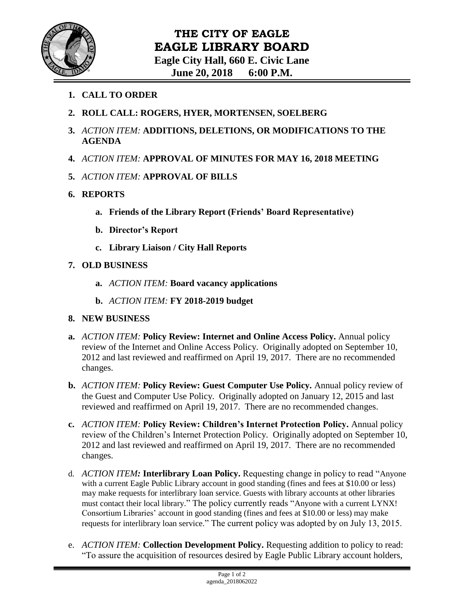

- **1. CALL TO ORDER**
- **2. ROLL CALL: ROGERS, HYER, MORTENSEN, SOELBERG**
- **3.** *ACTION ITEM:* **ADDITIONS, DELETIONS, OR MODIFICATIONS TO THE AGENDA**
- **4.** *ACTION ITEM:* **APPROVAL OF MINUTES FOR MAY 16, 2018 MEETING**
- **5.** *ACTION ITEM:* **APPROVAL OF BILLS**
- **6. REPORTS**
	- **a. Friends of the Library Report (Friends' Board Representative)**
	- **b. Director's Report**
	- **c. Library Liaison / City Hall Reports**
- **7. OLD BUSINESS**
	- **a.** *ACTION ITEM:* **Board vacancy applications**
	- **b.** *ACTION ITEM:* **FY 2018-2019 budget**
- **8. NEW BUSINESS**
- **a.** *ACTION ITEM:* **Policy Review: Internet and Online Access Policy.** Annual policy review of the Internet and Online Access Policy. Originally adopted on September 10, 2012 and last reviewed and reaffirmed on April 19, 2017. There are no recommended changes.
- **b.** *ACTION ITEM:* **Policy Review: Guest Computer Use Policy.** Annual policy review of the Guest and Computer Use Policy. Originally adopted on January 12, 2015 and last reviewed and reaffirmed on April 19, 2017. There are no recommended changes.
- **c.** *ACTION ITEM:* **Policy Review: Children's Internet Protection Policy.** Annual policy review of the Children's Internet Protection Policy. Originally adopted on September 10, 2012 and last reviewed and reaffirmed on April 19, 2017. There are no recommended changes.
- d. *ACTION ITEM:* **Interlibrary Loan Policy.** Requesting change in policy to read "Anyone with a current Eagle Public Library account in good standing (fines and fees at \$10.00 or less) may make requests for interlibrary loan service. Guests with library accounts at other libraries must contact their local library." The policy currently reads "Anyone with a current LYNX! Consortium Libraries' account in good standing (fines and fees at \$10.00 or less) may make requests for interlibrary loan service." The current policy was adopted by on July 13, 2015.
- e. *ACTION ITEM:* **Collection Development Policy.** Requesting addition to policy to read: "To assure the acquisition of resources desired by Eagle Public Library account holders,